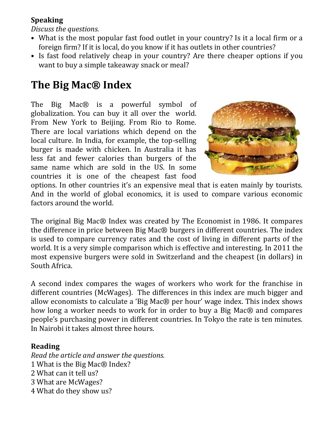## **Speaking**

*Discuss the questions.*

- What is the most popular fast food outlet in your country? Is it a local firm or a foreign firm? If it is local, do you know if it has outlets in other countries?
- Is fast food relatively cheap in your country? Are there cheaper options if you want to buy a simple takeaway snack or meal?

## **The Big Mac® Index**

The Big Mac® is a powerful symbol of globalization. You can buy it all over the world. From New York to Beijing. From Rio to Rome. There are local variations which depend on the local culture. In India, for example, the top-selling burger is made with chicken. In Australia it has less fat and fewer calories than burgers of the same name which are sold in the US. In some countries it is one of the cheapest fast food



options. In other countries it's an expensive meal that is eaten mainly by tourists. And in the world of global economics, it is used to compare various economic factors around the world.

The original Big Mac® Index was created by The Economist in 1986. It compares the difference in price between Big Mac® burgers in different countries. The index is used to compare currency rates and the cost of living in different parts of the world. It is a very simple comparison which is effective and interesting. In 2011 the most expensive burgers were sold in Switzerland and the cheapest (in dollars) in South Africa.

A second index compares the wages of workers who work for the franchise in different countries (McWages). The differences in this index are much bigger and allow economists to calculate a 'Big Mac® per hour' wage index. This index shows how long a worker needs to work for in order to buy a Big Mac® and compares people's purchasing power in different countries. In Tokyo the rate is ten minutes. In Nairobi it takes almost three hours.

## **Reading**

*Read the article and answer the questions.* 1 What is the Big Mac® Index? 2 What can it tell us? 3 What are McWages? 4 What do they show us?